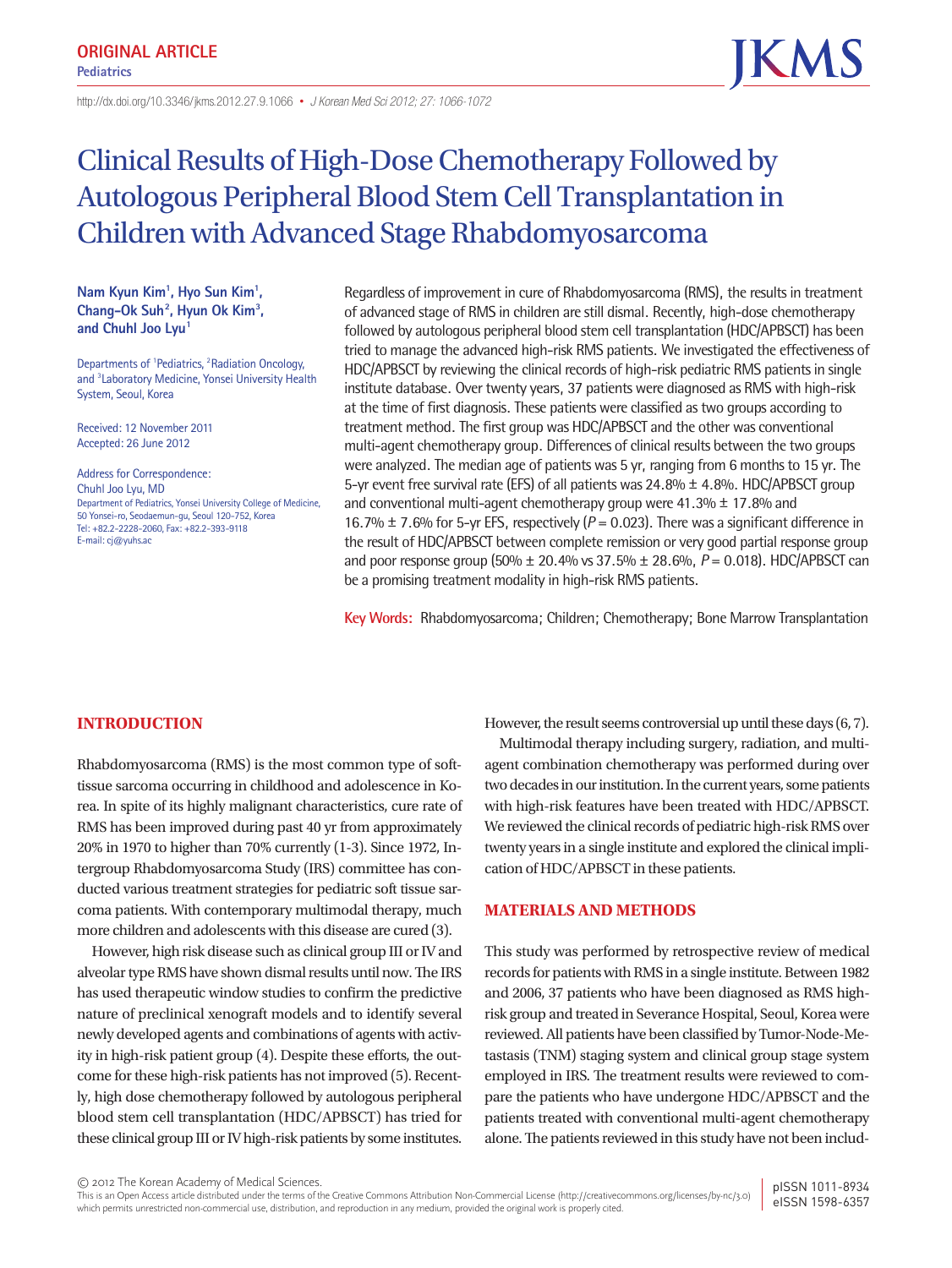http://dx.doi.org/10.3346/ jkms.2012.27.9.1066• *J Korean Med Sci 2012; 27: 1066-1072*

# Clinical Results of High-Dose Chemotherapy Followed by Autologous Peripheral Blood Stem Cell Transplantation in Children with Advanced Stage Rhabdomyosarcoma

**Nam Kyun Kim1 , Hyo Sun Kim1 , Chang-Ok Suh2 , Hyun Ok Kim3 ,**  and Chuhl Joo Lyu<sup>1</sup>

Departments of <sup>1</sup>Pediatrics, <sup>2</sup>Radiation Oncology, and <sup>3</sup> Laboratory Medicine, Yonsei University Health System, Seoul, Korea

Received: 12 November 2011 Accepted: 26 June 2012

Address for Correspondence: Chuhl Joo Lyu, MD Department of Pediatrics, Yonsei University College of Medicine, 50 Yonsei-ro, Seodaemun-gu, Seoul 120-752, Korea Tel: +82.2-2228-2060, Fax: +82.2-393-9118 E-mail: cj@yuhs.ac

Regardless of improvement in cure of Rhabdomyosarcoma (RMS), the results in treatment of advanced stage of RMS in children are still dismal. Recently, high-dose chemotherapy followed by autologous peripheral blood stem cell transplantation (HDC/APBSCT) has been tried to manage the advanced high-risk RMS patients. We investigated the effectiveness of HDC/APBSCT by reviewing the clinical records of high-risk pediatric RMS patients in single institute database. Over twenty years, 37 patients were diagnosed as RMS with high-risk at the time of first diagnosis. These patients were classified as two groups according to treatment method. The first group was HDC/APBSCT and the other was conventional multi-agent chemotherapy group. Differences of clinical results between the two groups were analyzed. The median age of patients was 5 yr, ranging from 6 months to 15 yr. The 5-yr event free survival rate (EFS) of all patients was  $24.8\% \pm 4.8\%$ . HDC/APBSCT group and conventional multi-agent chemotherapy group were  $41.3\% \pm 17.8\%$  and 16.7%  $\pm$  7.6% for 5-yr EFS, respectively ( $P = 0.023$ ). There was a significant difference in the result of HDC/APBSCT between complete remission or very good partial response group and poor response group (50% ± 20.4% vs 37.5% ± 28.6%, *P* = 0.018). HDC/APBSCT can be a promising treatment modality in high-risk RMS patients.

**Key Words:** Rhabdomyosarcoma; Children; Chemotherapy; Bone Marrow Transplantation

# **INTRODUCTION**

Rhabdomyosarcoma (RMS) is the most common type of softtissue sarcoma occurring in childhood and adolescence in Korea. In spite of its highly malignant characteristics, cure rate of RMS has been improved during past 40 yr from approximately 20% in 1970 to higher than 70% currently (1-3). Since 1972, Intergroup Rhabdomyosarcoma Study (IRS) committee has conducted various treatment strategies for pediatric soft tissue sarcoma patients. With contemporary multimodal therapy, much more children and adolescents with this disease are cured (3).

However, high risk disease such as clinical group III or IV and alveolar type RMS have shown dismal results until now. The IRS has used therapeutic window studies to confirm the predictive nature of preclinical xenograft models and to identify several newly developed agents and combinations of agents with activity in high-risk patient group (4). Despite these efforts, the outcome for these high-risk patients has not improved (5). Recently, high dose chemotherapy followed by autologous peripheral blood stem cell transplantation (HDC/APBSCT) has tried for these clinical group III or IV high-risk patients by some institutes. However, the result seems controversial up until these days (6, 7).

Multimodal therapy including surgery, radiation, and multiagent combination chemotherapy was performed during over two decades in our institution. In the current years, some patients with high-risk features have been treated with HDC/APBSCT. We reviewed the clinical records of pediatric high-risk RMS over twenty years in a single institute and explored the clinical implication of HDC/APBSCT in these patients.

# **MATERIALS AND METHODS**

This study was performed by retrospective review of medical records for patients with RMS in a single institute. Between 1982 and 2006, 37 patients who have been diagnosed as RMS highrisk group and treated in Severance Hospital, Seoul, Korea were reviewed. All patients have been classified by Tumor-Node-Metastasis (TNM) staging system and clinical group stage system employed in IRS. The treatment results were reviewed to compare the patients who have undergone HDC/APBSCT and the patients treated with conventional multi-agent chemotherapy alone. The patients reviewed in this study have not been includ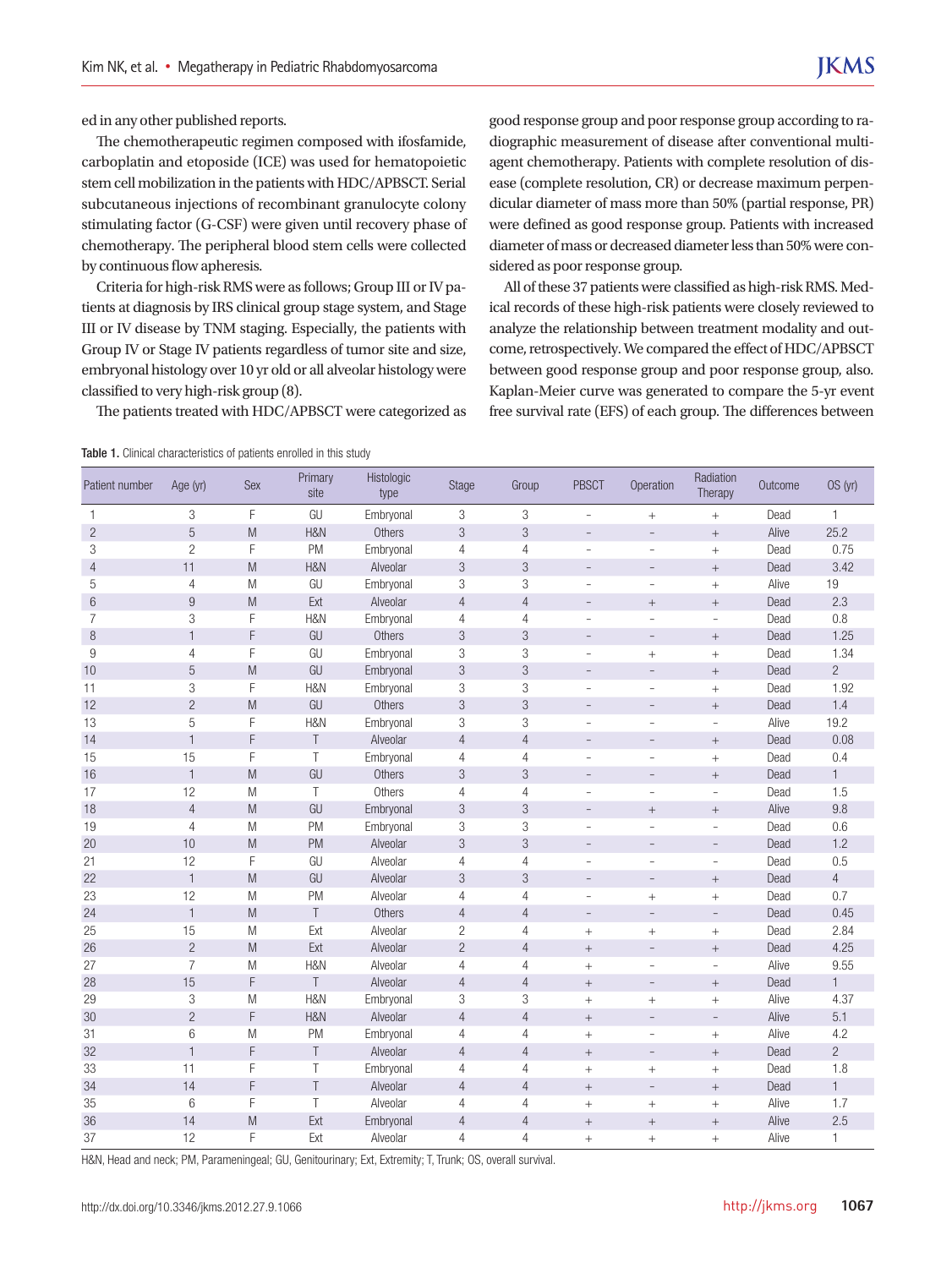ed in any other published reports.

The chemotherapeutic regimen composed with ifosfamide, carboplatin and etoposide (ICE) was used for hematopoietic stem cell mobilization in the patients with HDC/APBSCT. Serial subcutaneous injections of recombinant granulocyte colony stimulating factor (G-CSF) were given until recovery phase of chemotherapy. The peripheral blood stem cells were collected by continuous flow apheresis.

Criteria for high-risk RMS were as follows; Group III or IV patients at diagnosis by IRS clinical group stage system, and Stage III or IV disease by TNM staging. Especially, the patients with Group IV or Stage IV patients regardless of tumor site and size, embryonal histology over 10 yr old or all alveolar histology were classified to very high-risk group (8).

The patients treated with HDC/APBSCT were categorized as

Table 1. Clinical characteristics of patients enrolled in this study

good response group and poor response group according to radiographic measurement of disease after conventional multiagent chemotherapy. Patients with complete resolution of disease (complete resolution, CR) or decrease maximum perpendicular diameter of mass more than 50% (partial response, PR) were defined as good response group. Patients with increased diameter of mass or decreased diameter less than 50% were considered as poor response group.

All of these 37 patients were classified as high-risk RMS. Medical records of these high-risk patients were closely reviewed to analyze the relationship between treatment modality and outcome, retrospectively. We compared the effect of HDC/APBSCT between good response group and poor response group, also. Kaplan-Meier curve was generated to compare the 5-yr event free survival rate (EFS) of each group. The differences between

| Patient number | Age (yr)         | Sex                                                                                                        | Primary<br>site | Histologic<br>type | Stage                     | Group          | <b>PBSCT</b>             | Operation                | Radiation<br>Therapy     | Outcome | OS (yr)        |
|----------------|------------------|------------------------------------------------------------------------------------------------------------|-----------------|--------------------|---------------------------|----------------|--------------------------|--------------------------|--------------------------|---------|----------------|
| 1              | 3                | F                                                                                                          | GU              | Embryonal          | 3                         | 3              | $\overline{\phantom{a}}$ | $\! + \!\!\!\!$          | $\, +$                   | Dead    | 1              |
| $\overline{c}$ | $\overline{5}$   | M                                                                                                          | H&N             | Others             | $\mathfrak{S}$            | 3              |                          | $\overline{\phantom{a}}$ | $\qquad \qquad +$        | Alive   | 25.2           |
| 3              | $\overline{2}$   | F                                                                                                          | PM              | Embryonal          | $\overline{4}$            | $\overline{4}$ | $\sim$                   | $\bar{ }$                | $\ddot{}$                | Dead    | 0.75           |
| $\overline{4}$ | 11               | M                                                                                                          | H&N             | Alveolar           | 3                         | 3              | $\overline{a}$           | $\overline{\phantom{a}}$ | $\overline{+}$           | Dead    | 3.42           |
| 5              | $\overline{4}$   | M                                                                                                          | GU              | Embryonal          | 3                         | 3              | $\overline{\phantom{a}}$ | $\bar{ }$                | $^{+}$                   | Alive   | 19             |
| 6              | $\boldsymbol{9}$ | M                                                                                                          | Ext             | Alveolar           | $\overline{4}$            | $\overline{4}$ | $\overline{\phantom{a}}$ | $\qquad \qquad +$        | $\ddot{}$                | Dead    | 2.3            |
| $\overline{7}$ | 3                | F                                                                                                          | H&N             | Embryonal          | $\overline{4}$            | $\overline{4}$ | L.                       | Ĭ.                       | $\overline{a}$           | Dead    | 0.8            |
| $\,8\,$        | $\mathbf{1}$     | F                                                                                                          | GU              | Others             | $\mathfrak{Z}$            | $\mathfrak{Z}$ | $\overline{a}$           | $\overline{\phantom{a}}$ | $^{+}$                   | Dead    | 1.25           |
| 9              | $\overline{4}$   | F                                                                                                          | GU              | Embryonal          | 3                         | 3              | $\overline{\phantom{a}}$ | $\! + \!\!\!\!$          | $^{+}$                   | Dead    | 1.34           |
| 10             | 5                | M                                                                                                          | GU              | Embryonal          | 3                         | 3              | $\overline{\phantom{a}}$ | $\overline{\phantom{a}}$ | $\qquad \qquad +$        | Dead    | $\overline{2}$ |
| 11             | 3                | F                                                                                                          | H&N             | Embryonal          | 3                         | $\,$ 3         | $\sim$                   | $\overline{a}$           | $\ddot{}$                | Dead    | 1.92           |
| 12             | $\overline{c}$   | $\mathsf{M}% _{T}=\mathsf{M}_{T}\!\left( a,b\right) ,\ \mathsf{M}_{T}=\mathsf{M}_{T}\!\left( a,b\right) ,$ | GU              | Others             | $\mathfrak{S}$            | 3              | $\overline{\phantom{a}}$ | $\overline{\phantom{a}}$ | $^{+}$                   | Dead    | 1.4            |
| 13             | 5                | F                                                                                                          | H&N             | Embryonal          | 3                         | 3              | $\sim$                   | $\sim$                   | ÷,                       | Alive   | 19.2           |
| 14             | $\mathbf{1}$     | F                                                                                                          | T               | Alveolar           | $\overline{4}$            | $\overline{4}$ | $\overline{\phantom{a}}$ | $\overline{\phantom{a}}$ | $\qquad \qquad +$        | Dead    | 0.08           |
| 15             | 15               | F                                                                                                          | T               | Embryonal          | $\overline{4}$            | $\overline{4}$ | Ē,                       | $\overline{\phantom{0}}$ | $^{+}$                   | Dead    | 0.4            |
| 16             | $\mathbf{1}$     | ${\sf M}$                                                                                                  | GU              | Others             | $\mathfrak{Z}$            | 3              | $\overline{a}$           | $\bar{ }$                | $^{+}$                   | Dead    | $\mathbf{1}$   |
| 17             | 12               | M                                                                                                          | T               | Others             | $\overline{4}$            | $\overline{4}$ | $\bar{a}$                | $\sim$                   | ÷,                       | Dead    | 1.5            |
| 18             | $\overline{4}$   | M                                                                                                          | GU              | Embryonal          | 3                         | 3              | $\overline{\phantom{a}}$ | $+$                      | $\qquad \qquad +$        | Alive   | 9.8            |
| 19             | $\overline{4}$   | M                                                                                                          | PM              | Embryonal          | 3                         | 3              | $\bar{ }$                | ÷,                       | ÷,                       | Dead    | 0.6            |
| 20             | 10               | M                                                                                                          | <b>PM</b>       | Alveolar           | 3                         | 3              | $\overline{a}$           | $\overline{\phantom{a}}$ | $\overline{\phantom{a}}$ | Dead    | 1.2            |
| 21             | 12               | F                                                                                                          | GU              | Alveolar           | $\overline{4}$            | $\overline{4}$ | $\overline{\phantom{a}}$ | $\sim$                   | $\overline{a}$           | Dead    | 0.5            |
| 22             | $\mathbf{1}$     | ${\sf M}$                                                                                                  | GU              | Alveolar           | $\ensuremath{\mathsf{3}}$ | 3              | $\overline{\phantom{a}}$ | $\overline{\phantom{a}}$ | $\qquad \qquad +$        | Dead    | $\overline{4}$ |
| 23             | 12               | M                                                                                                          | PM              | Alveolar           | $\overline{4}$            | $\overline{4}$ | $\overline{\phantom{a}}$ | $\! + \!\!\!\!$          | $\ddot{}$                | Dead    | 0.7            |
| 24             | $\mathbf{1}$     | M                                                                                                          | T               | Others             | $\overline{4}$            | $\overline{4}$ | $\overline{\phantom{a}}$ | $\overline{\phantom{a}}$ | $\overline{\phantom{a}}$ | Dead    | 0.45           |
| 25             | 15               | ${\sf M}$                                                                                                  | Ext             | Alveolar           | $\overline{c}$            | $\overline{4}$ | $+$                      | $\qquad \qquad +$        | $\ddot{}$                | Dead    | 2.84           |
| 26             | $\overline{c}$   | $\mathsf{M}% _{T}=\mathsf{M}_{T}\!\left( a,b\right) ,\ \mathsf{M}_{T}=\mathsf{M}_{T}\!\left( a,b\right) ,$ | Ext             | Alveolar           | $\overline{2}$            | $\overline{4}$ | $\! +$                   | $\overline{\phantom{a}}$ | $\qquad \qquad +$        | Dead    | 4.25           |
| 27             | $\overline{7}$   | M                                                                                                          | H&N             | Alveolar           | $\overline{4}$            | $\overline{4}$ | $+$                      | $\sim$                   | ÷,                       | Alive   | 9.55           |
| 28             | 15               | F                                                                                                          | T               | Alveolar           | $\overline{4}$            | $\overline{4}$ | $+$                      | $\overline{\phantom{a}}$ | $^{+}$                   | Dead    | $\mathbf{1}$   |
| 29             | 3                | ${\sf M}$                                                                                                  | H&N             | Embryonal          | 3                         | 3              | $+$                      | $^+$                     | $^{+}$                   | Alive   | 4.37           |
| 30             | $\overline{c}$   | F                                                                                                          | H&N             | Alveolar           | $\overline{4}$            | $\overline{4}$ | $\! +$                   | $\bar{ }$                | $\qquad \qquad -$        | Alive   | 5.1            |
| 31             | 6                | M                                                                                                          | <b>PM</b>       | Embryonal          | $\overline{4}$            | $\overline{4}$ | $+$                      | ÷,                       | $\ddot{}$                | Alive   | 4.2            |
| 32             | $\mathbf{1}$     | F                                                                                                          | Τ               | Alveolar           | $\overline{4}$            | $\overline{4}$ | $^+$                     | $\overline{\phantom{a}}$ | $\qquad \qquad +$        | Dead    | $\overline{2}$ |
| 33             | 11               | F                                                                                                          | Τ               | Embryonal          | $\overline{4}$            | $\overline{4}$ | $^{+}$                   | $^+$                     | $^{+}$                   | Dead    | 1.8            |
| 34             | 14               | F                                                                                                          | T               | Alveolar           | $\overline{4}$            | $\overline{4}$ | $+$                      | $\overline{\phantom{a}}$ | $\overline{+}$           | Dead    | $\mathbf{1}$   |
| 35             | 6                | F                                                                                                          | T               | Alveolar           | 4                         | $\overline{4}$ | $^{+}$                   | $^+$                     | $^{+}$                   | Alive   | 1.7            |
| 36             | 14               | M                                                                                                          | Ext             | Embryonal          | $\overline{4}$            | $\overline{4}$ |                          | $\boldsymbol{+}$         | $\overline{+}$           | Alive   | 2.5            |
| 37             | 12               | F                                                                                                          | Ext             | Alveolar           | 4                         | 4              | $^{+}$                   | $^{+}$                   | $^{+}$                   | Alive   | 1              |

H&N, Head and neck; PM, Parameningeal; GU, Genitourinary; Ext, Extremity; T, Trunk; OS, overall survival.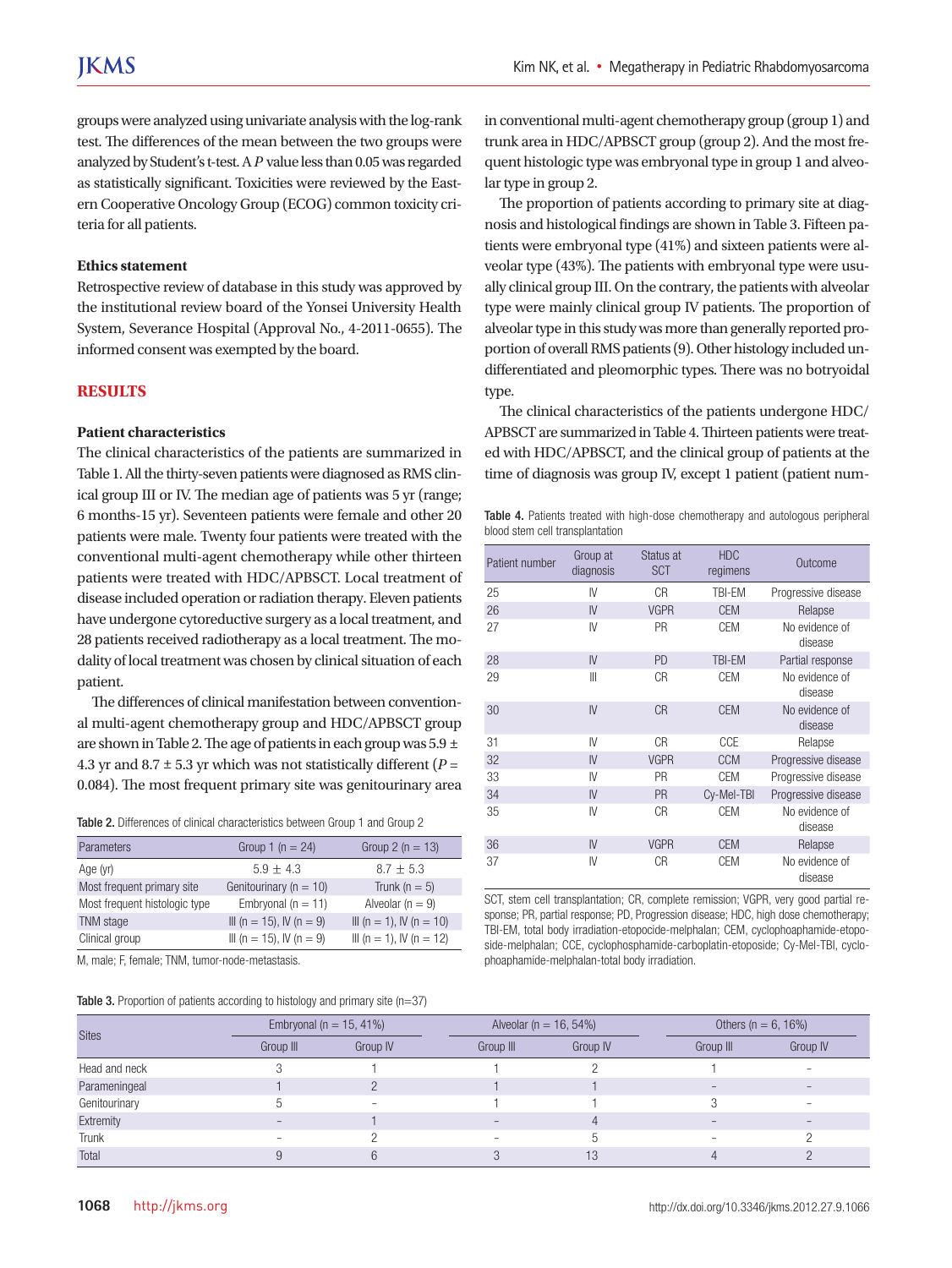groups were analyzed using univariate analysis with the log-rank test. The differences of the mean between the two groups were analyzed by Student's t-test. A *P* value less than 0.05 was regarded as statistically significant. Toxicities were reviewed by the Eastern Cooperative Oncology Group (ECOG) common toxicity criteria for all patients.

## **Ethics statement**

Retrospective review of database in this study was approved by the institutional review board of the Yonsei University Health System, Severance Hospital (Approval No., 4-2011-0655). The informed consent was exempted by the board.

# **RESULTS**

## **Patient characteristics**

The clinical characteristics of the patients are summarized in Table 1. All the thirty-seven patients were diagnosed as RMS clinical group III or IV. The median age of patients was 5 yr (range; 6 months-15 yr). Seventeen patients were female and other 20 patients were male. Twenty four patients were treated with the conventional multi-agent chemotherapy while other thirteen patients were treated with HDC/APBSCT. Local treatment of disease included operation or radiation therapy. Eleven patients have undergone cytoreductive surgery as a local treatment, and 28 patients received radiotherapy as a local treatment. The modality of local treatment was chosen by clinical situation of each patient.

The differences of clinical manifestation between conventional multi-agent chemotherapy group and HDC/APBSCT group are shown in Table 2. The age of patients in each group was 5.9 ± 4.3 yr and  $8.7 \pm 5.3$  yr which was not statistically different ( $P =$ 0.084). The most frequent primary site was genitourinary area

|  | Table 2. Differences of clinical characteristics between Group 1 and Group 2 |  |
|--|------------------------------------------------------------------------------|--|
|--|------------------------------------------------------------------------------|--|

| Parameters                    | Group 1 ( $n = 24$ )       | Group 2 ( $n = 13$ )     |
|-------------------------------|----------------------------|--------------------------|
| Age (yr)                      | $5.9 + 4.3$                | $8.7 + 5.3$              |
| Most frequent primary site    | Genitourinary ( $n = 10$ ) | Trunk ( $n = 5$ )        |
| Most frequent histologic type | Embryonal ( $n = 11$ )     | Alveolar ( $n = 9$ )     |
| TNM stage                     | III (n = 15), IV (n = 9)   | III (n = 1), IV (n = 10) |
| Clinical group                | III (n = 15), IV (n = 9)   | III (n = 1), IV (n = 12) |
|                               |                            |                          |

M, male; F, female; TNM, tumor-node-metastasis.

| <b>Table 3.</b> Proportion of patients according to histology and primary site $(n=37)$ |  |
|-----------------------------------------------------------------------------------------|--|
|-----------------------------------------------------------------------------------------|--|

in conventional multi-agent chemotherapy group (group 1) and trunk area in HDC/APBSCT group (group 2). And the most frequent histologic type was embryonal type in group 1 and alveolar type in group 2.

The proportion of patients according to primary site at diagnosis and histological findings are shown in Table 3. Fifteen patients were embryonal type (41%) and sixteen patients were alveolar type (43%). The patients with embryonal type were usually clinical group III. On the contrary, the patients with alveolar type were mainly clinical group IV patients. The proportion of alveolar type in this study was more than generally reported proportion of overall RMS patients (9). Other histology included undifferentiated and pleomorphic types. There was no botryoidal type.

The clinical characteristics of the patients undergone HDC/ APBSCT are summarized in Table 4. Thirteen patients were treated with HDC/APBSCT, and the clinical group of patients at the time of diagnosis was group IV, except 1 patient (patient num-

Table 4. Patients treated with high-dose chemotherapy and autologous peripheral blood stem cell transplantation

| Patient number | Group at<br>diagnosis | Status at<br><b>SCT</b> | <b>HDC</b><br>regimens | Outcome                   |
|----------------|-----------------------|-------------------------|------------------------|---------------------------|
| 25             | IV                    | CR                      | TBI-EM                 | Progressive disease       |
| 26             | IV                    | <b>VGPR</b>             | <b>CEM</b>             | Relapse                   |
| 27             | IV                    | PR                      | <b>CEM</b>             | No evidence of<br>disease |
| 28             | IV                    | <b>PD</b>               | <b>TBI-EM</b>          | Partial response          |
| 29             | $\mathbb{I}$          | CR                      | <b>CEM</b>             | No evidence of<br>disease |
| 30             | IV                    | <b>CR</b>               | <b>CEM</b>             | No evidence of<br>disease |
| 31             | IV                    | CR                      | CCE                    | Relapse                   |
| 32             | IV                    | <b>VGPR</b>             | <b>CCM</b>             | Progressive disease       |
| 33             | IV                    | PR                      | <b>CEM</b>             | Progressive disease       |
| 34             | IV                    | <b>PR</b>               | Cy-Mel-TBI             | Progressive disease       |
| 35             | IV                    | C <sub>R</sub>          | <b>CEM</b>             | No evidence of<br>disease |
| 36             | IV                    | <b>VGPR</b>             | <b>CEM</b>             | Relapse                   |
| 37             | IV                    | C <sub>R</sub>          | <b>CEM</b>             | No evidence of<br>disease |

SCT, stem cell transplantation; CR, complete remission; VGPR, very good partial response; PR, partial response; PD, Progression disease; HDC, high dose chemotherapy; TBI-EM, total body irradiation-etopocide-melphalan; CEM, cyclophoaphamide-etoposide-melphalan; CCE, cyclophosphamide-carboplatin-etoposide; Cy-Mel-TBI, cyclophoaphamide-melphalan-total body irradiation.

|               |           | Embryonal ( $n = 15, 41\%$ ) | Alveolar ( $n = 16, 54\%$ ) |          |           | Others ( $n = 6, 16\%$ ) |  |
|---------------|-----------|------------------------------|-----------------------------|----------|-----------|--------------------------|--|
| <b>Sites</b>  | Group III | Group IV                     | Group III                   | Group IV | Group III | Group IV                 |  |
| Head and neck |           |                              |                             |          |           | -                        |  |
| Parameningeal |           |                              |                             |          |           |                          |  |
| Genitourinary |           | -                            |                             |          |           |                          |  |
| Extremity     |           |                              |                             |          |           |                          |  |
| Trunk         |           |                              |                             |          |           |                          |  |
| Total         |           |                              |                             | 13       |           |                          |  |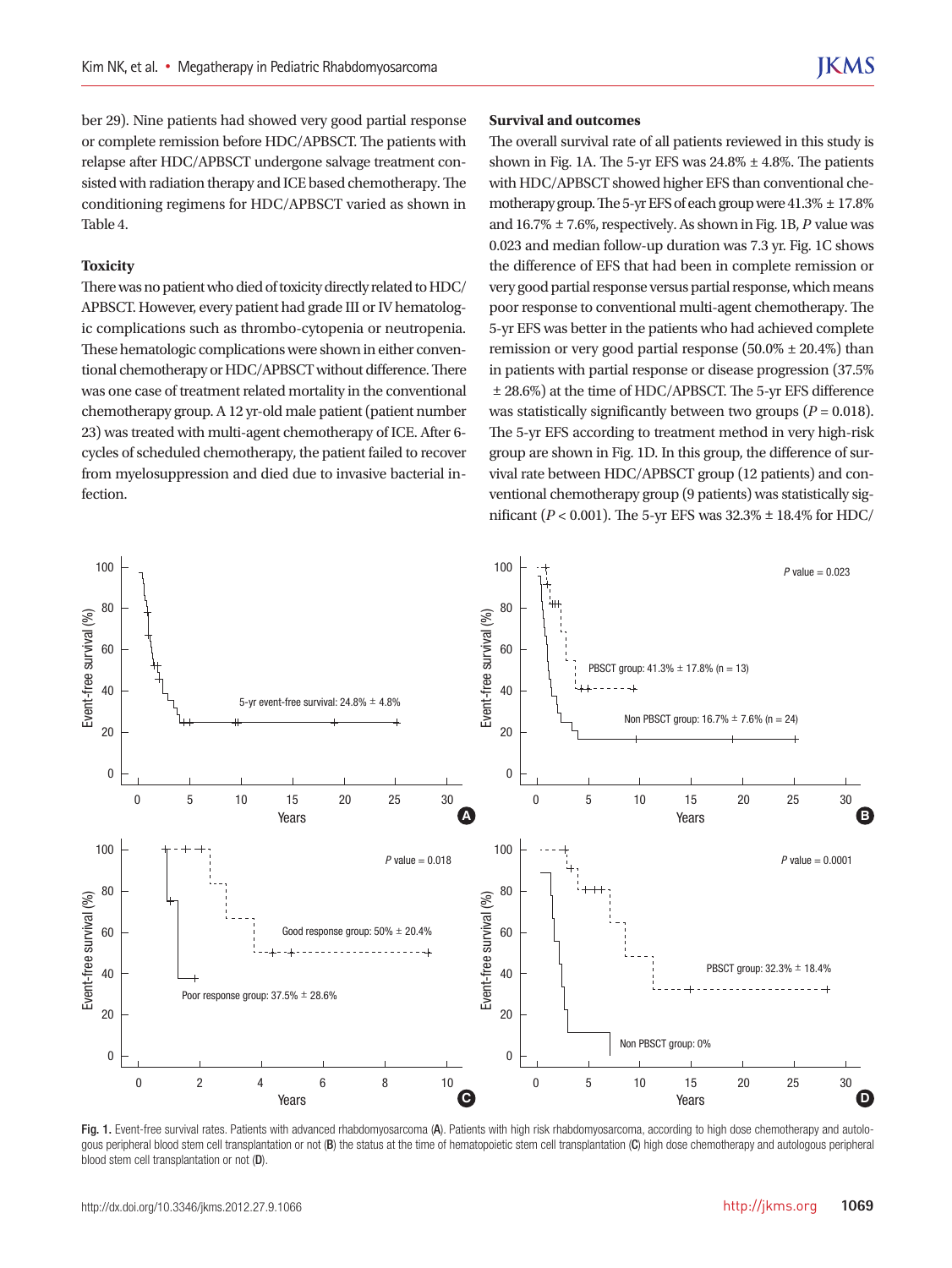ber 29). Nine patients had showed very good partial response or complete remission before HDC/APBSCT. The patients with relapse after HDC/APBSCT undergone salvage treatment consisted with radiation therapy and ICE based chemotherapy. The conditioning regimens for HDC/APBSCT varied as shown in Table 4.

#### **Toxicity**

There was no patient who died of toxicity directly related to HDC/ APBSCT. However, every patient had grade III or IV hematologic complications such as thrombo-cytopenia or neutropenia. These hematologic complications were shown in either conventional chemotherapy or HDC/APBSCT without difference. There was one case of treatment related mortality in the conventional chemotherapy group. A 12 yr-old male patient (patient number 23) was treated with multi-agent chemotherapy of ICE. After 6 cycles of scheduled chemotherapy, the patient failed to recover from myelosuppression and died due to invasive bacterial infection.

### **Survival and outcomes**

The overall survival rate of all patients reviewed in this study is shown in Fig. 1A. The 5-yr EFS was  $24.8\% \pm 4.8\%$ . The patients with HDC/APBSCT showed higher EFS than conventional chemotherapy group. The 5-yr EFS of each group were  $41.3\% \pm 17.8\%$ and 16.7% ± 7.6%, respectively. As shown in Fig. 1B, *P* value was 0.023 and median follow-up duration was 7.3 yr. Fig. 1C shows the difference of EFS that had been in complete remission or very good partial response versus partial response, which means poor response to conventional multi-agent chemotherapy. The 5-yr EFS was better in the patients who had achieved complete remission or very good partial response  $(50.0\% \pm 20.4\%)$  than in patients with partial response or disease progression (37.5% ± 28.6%) at the time of HDC/APBSCT. The 5-yr EFS difference was statistically significantly between two groups (*P* = 0.018). The 5-yr EFS according to treatment method in very high-risk group are shown in Fig. 1D. In this group, the difference of survival rate between HDC/APBSCT group (12 patients) and conventional chemotherapy group (9 patients) was statistically significant ( $P < 0.001$ ). The 5-yr EFS was  $32.3\% \pm 18.4\%$  for HDC/



Fig. 1. Event-free survival rates. Patients with advanced rhabdomyosarcoma (A). Patients with high risk rhabdomyosarcoma, according to high dose chemotherapy and autologous peripheral blood stem cell transplantation or not (B) the status at the time of hematopoietic stem cell transplantation (C) high dose chemotherapy and autologous peripheral blood stem cell transplantation or not (D).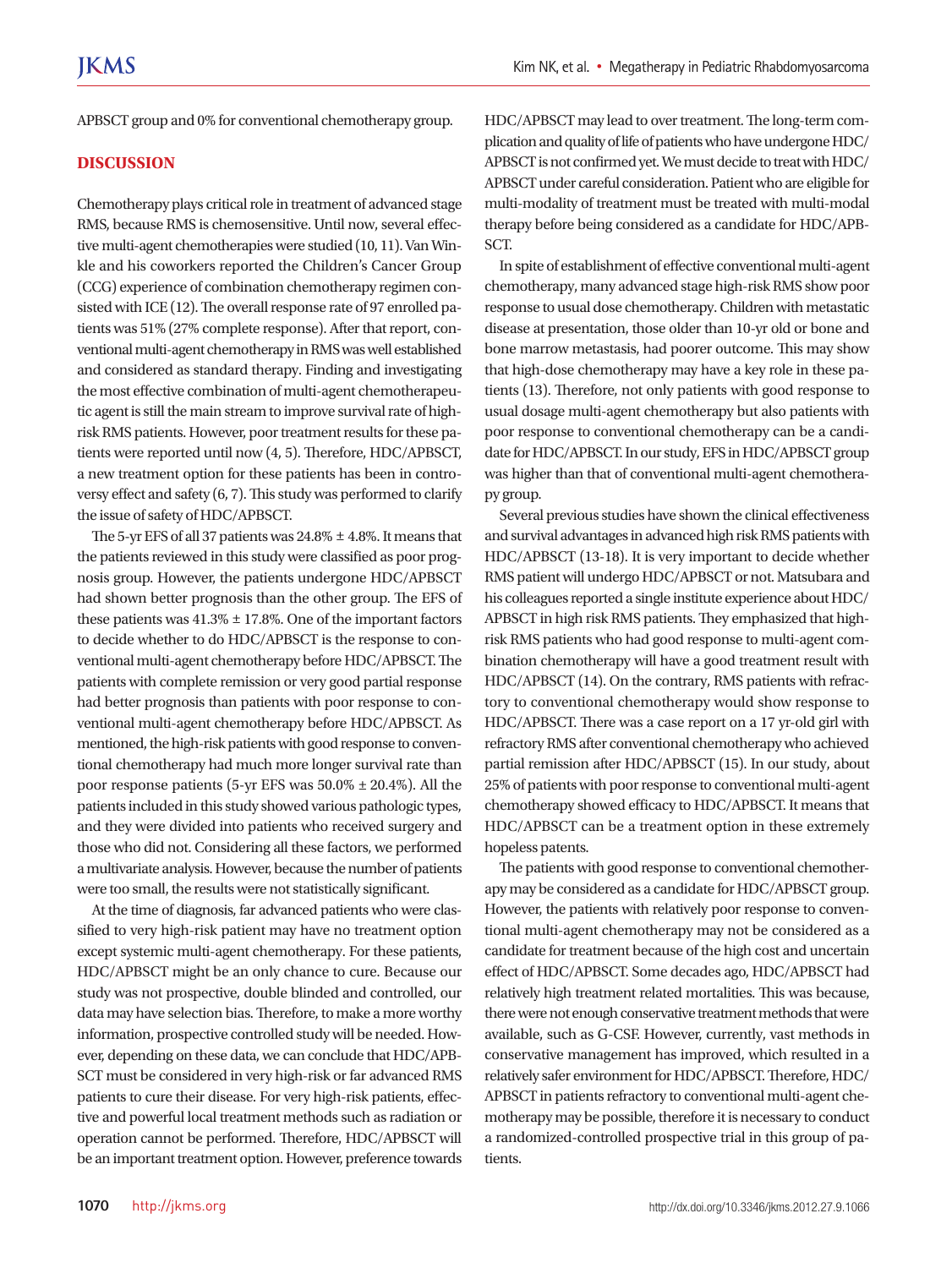APBSCT group and 0% for conventional chemotherapy group.

## **DISCUSSION**

Chemotherapy plays critical role in treatment of advanced stage RMS, because RMS is chemosensitive. Until now, several effective multi-agent chemotherapies were studied (10, 11). Van Winkle and his coworkers reported the Children's Cancer Group (CCG) experience of combination chemotherapy regimen consisted with ICE (12). The overall response rate of 97 enrolled patients was 51% (27% complete response). After that report, conventional multi-agent chemotherapy in RMS was well established and considered as standard therapy. Finding and investigating the most effective combination of multi-agent chemotherapeutic agent is still the main stream to improve survival rate of highrisk RMS patients. However, poor treatment results for these patients were reported until now (4, 5). Therefore, HDC/APBSCT, a new treatment option for these patients has been in controversy effect and safety (6, 7). This study was performed to clarify the issue of safety of HDC/APBSCT.

The 5-yr EFS of all 37 patients was  $24.8\% \pm 4.8\%$ . It means that the patients reviewed in this study were classified as poor prognosis group. However, the patients undergone HDC/APBSCT had shown better prognosis than the other group. The EFS of these patients was  $41.3\% \pm 17.8\%$ . One of the important factors to decide whether to do HDC/APBSCT is the response to conventional multi-agent chemotherapy before HDC/APBSCT. The patients with complete remission or very good partial response had better prognosis than patients with poor response to conventional multi-agent chemotherapy before HDC/APBSCT. As mentioned, the high-risk patients with good response to conventional chemotherapy had much more longer survival rate than poor response patients (5-yr EFS was  $50.0\% \pm 20.4\%$ ). All the patients included in this study showed various pathologic types, and they were divided into patients who received surgery and those who did not. Considering all these factors, we performed a multivariate analysis. However, because the number of patients were too small, the results were not statistically significant.

At the time of diagnosis, far advanced patients who were classified to very high-risk patient may have no treatment option except systemic multi-agent chemotherapy. For these patients, HDC/APBSCT might be an only chance to cure. Because our study was not prospective, double blinded and controlled, our data may have selection bias. Therefore, to make a more worthy information, prospective controlled study will be needed. However, depending on these data, we can conclude that HDC/APB-SCT must be considered in very high-risk or far advanced RMS patients to cure their disease. For very high-risk patients, effective and powerful local treatment methods such as radiation or operation cannot be performed. Therefore, HDC/APBSCT will be an important treatment option. However, preference towards HDC/APBSCT may lead to over treatment. The long-term complication and quality of life of patients who have undergone HDC/ APBSCT is not confirmed yet. We must decide to treat with HDC/ APBSCT under careful consideration. Patient who are eligible for multi-modality of treatment must be treated with multi-modal therapy before being considered as a candidate for HDC/APB-SCT.

In spite of establishment of effective conventional multi-agent chemotherapy, many advanced stage high-risk RMS show poor response to usual dose chemotherapy. Children with metastatic disease at presentation, those older than 10-yr old or bone and bone marrow metastasis, had poorer outcome. This may show that high-dose chemotherapy may have a key role in these patients (13). Therefore, not only patients with good response to usual dosage multi-agent chemotherapy but also patients with poor response to conventional chemotherapy can be a candidate for HDC/APBSCT. In our study, EFS in HDC/APBSCT group was higher than that of conventional multi-agent chemotherapy group.

Several previous studies have shown the clinical effectiveness and survival advantages in advanced high risk RMS patients with HDC/APBSCT (13-18). It is very important to decide whether RMS patient will undergo HDC/APBSCT or not. Matsubara and his colleagues reported a single institute experience about HDC/ APBSCT in high risk RMS patients. They emphasized that highrisk RMS patients who had good response to multi-agent combination chemotherapy will have a good treatment result with HDC/APBSCT (14). On the contrary, RMS patients with refractory to conventional chemotherapy would show response to HDC/APBSCT. There was a case report on a 17 yr-old girl with refractory RMS after conventional chemotherapy who achieved partial remission after HDC/APBSCT (15). In our study, about 25% of patients with poor response to conventional multi-agent chemotherapy showed efficacy to HDC/APBSCT. It means that HDC/APBSCT can be a treatment option in these extremely hopeless patents.

The patients with good response to conventional chemotherapy may be considered as a candidate for HDC/APBSCT group. However, the patients with relatively poor response to conventional multi-agent chemotherapy may not be considered as a candidate for treatment because of the high cost and uncertain effect of HDC/APBSCT. Some decades ago, HDC/APBSCT had relatively high treatment related mortalities. This was because, there were not enough conservative treatment methods that were available, such as G-CSF. However, currently, vast methods in conservative management has improved, which resulted in a relatively safer environment for HDC/APBSCT. Therefore, HDC/ APBSCT in patients refractory to conventional multi-agent chemotherapy may be possible, therefore it is necessary to conduct a randomized-controlled prospective trial in this group of patients.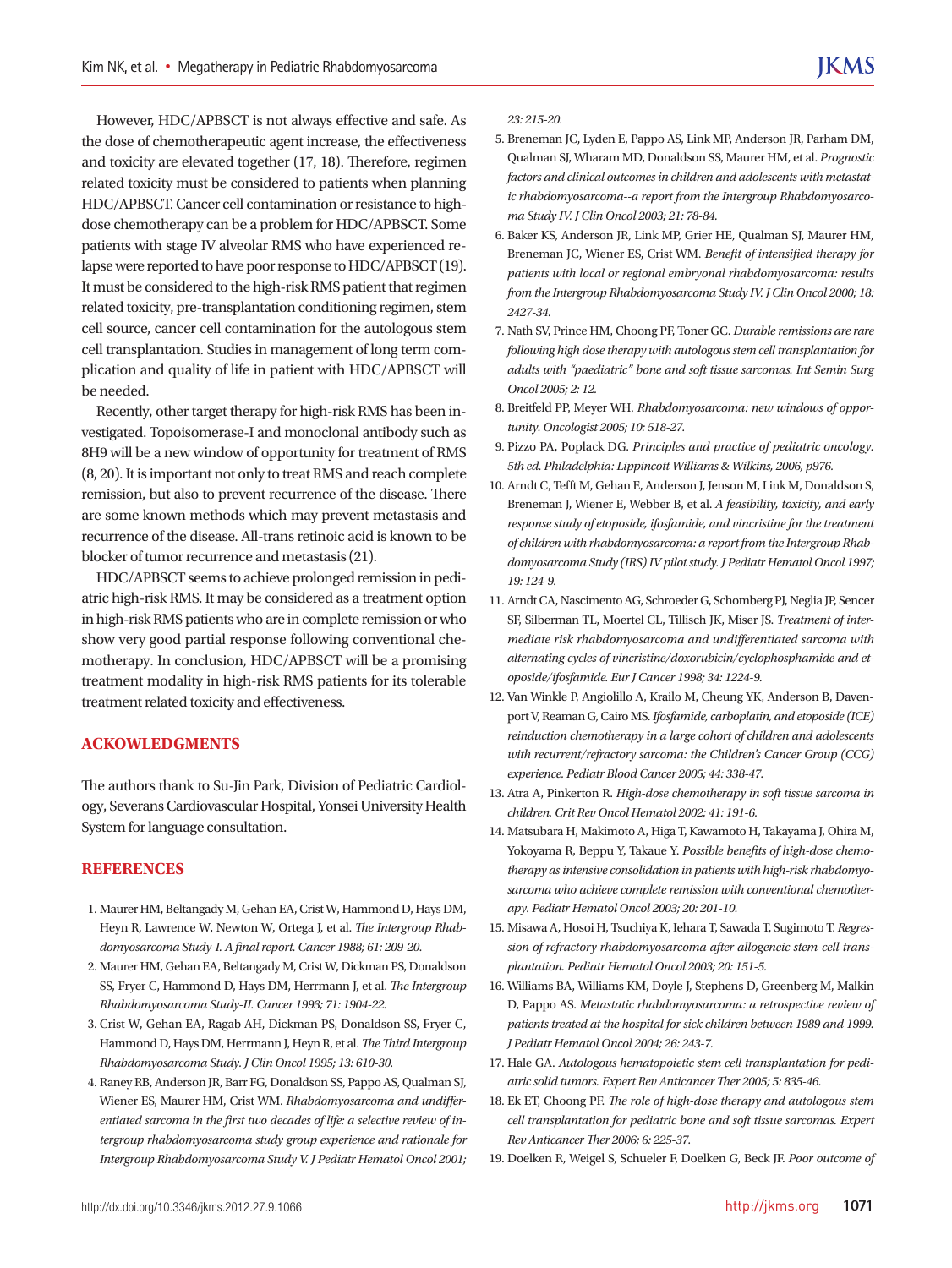However, HDC/APBSCT is not always effective and safe. As the dose of chemotherapeutic agent increase, the effectiveness and toxicity are elevated together (17, 18). Therefore, regimen related toxicity must be considered to patients when planning HDC/APBSCT. Cancer cell contamination or resistance to highdose chemotherapy can be a problem for HDC/APBSCT. Some patients with stage IV alveolar RMS who have experienced relapse were reported to have poor response to HDC/APBSCT (19). It must be considered to the high-risk RMS patient that regimen related toxicity, pre-transplantation conditioning regimen, stem cell source, cancer cell contamination for the autologous stem cell transplantation. Studies in management of long term complication and quality of life in patient with HDC/APBSCT will be needed.

Recently, other target therapy for high-risk RMS has been investigated. Topoisomerase-I and monoclonal antibody such as 8H9 will be a new window of opportunity for treatment of RMS (8, 20). It is important not only to treat RMS and reach complete remission, but also to prevent recurrence of the disease. There are some known methods which may prevent metastasis and recurrence of the disease. All-trans retinoic acid is known to be blocker of tumor recurrence and metastasis (21).

HDC/APBSCT seems to achieve prolonged remission in pediatric high-risk RMS. It may be considered as a treatment option in high-risk RMS patients who are in complete remission or who show very good partial response following conventional chemotherapy. In conclusion, HDC/APBSCT will be a promising treatment modality in high-risk RMS patients for its tolerable treatment related toxicity and effectiveness.

# **ACKOWLEDGMENTS**

The authors thank to Su-Jin Park, Division of Pediatric Cardiology, Severans Cardiovascular Hospital, Yonsei University Health System for language consultation.

#### **REFERENCES**

- 1. Maurer HM, Beltangady M, Gehan EA, Crist W, Hammond D, Hays DM, Heyn R, Lawrence W, Newton W, Ortega J, et al. *The Intergroup Rhabdomyosarcoma Study-I. A final report. Cancer 1988; 61: 209-20.*
- 2. Maurer HM, Gehan EA, Beltangady M, Crist W, Dickman PS, Donaldson SS, Fryer C, Hammond D, Hays DM, Herrmann J, et al. *The Intergroup Rhabdomyosarcoma Study-II. Cancer 1993; 71: 1904-22.*
- 3. Crist W, Gehan EA, Ragab AH, Dickman PS, Donaldson SS, Fryer C, Hammond D, Hays DM, Herrmann J, Heyn R, et al. *The Third Intergroup Rhabdomyosarcoma Study. J Clin Oncol 1995; 13: 610-30.*
- 4. Raney RB, Anderson JR, Barr FG, Donaldson SS, Pappo AS, Qualman SJ, Wiener ES, Maurer HM, Crist WM. *Rhabdomyosarcoma and undifferentiated sarcoma in the first two decades of life: a selective review of intergroup rhabdomyosarcoma study group experience and rationale for Intergroup Rhabdomyosarcoma Study V. J Pediatr Hematol Oncol 2001;*

*23: 215-20.*

- 5. Breneman JC, Lyden E, Pappo AS, Link MP, Anderson JR, Parham DM, Qualman SJ, Wharam MD, Donaldson SS, Maurer HM, et al. *Prognostic factors and clinical outcomes in children and adolescents with metastatic rhabdomyosarcoma--a report from the Intergroup Rhabdomyosarcoma Study IV. J Clin Oncol 2003; 21: 78-84.*
- 6. Baker KS, Anderson JR, Link MP, Grier HE, Qualman SJ, Maurer HM, Breneman JC, Wiener ES, Crist WM. *Benefit of intensified therapy for patients with local or regional embryonal rhabdomyosarcoma: results from the Intergroup Rhabdomyosarcoma Study IV. J Clin Oncol 2000; 18: 2427-34.*
- 7. Nath SV, Prince HM, Choong PF, Toner GC. *Durable remissions are rare following high dose therapy with autologous stem cell transplantation for adults with "paediatric" bone and soft tissue sarcomas. Int Semin Surg Oncol 2005; 2: 12.*
- 8. Breitfeld PP, Meyer WH. *Rhabdomyosarcoma: new windows of opportunity. Oncologist 2005; 10: 518-27.*
- 9. Pizzo PA, Poplack DG. *Principles and practice of pediatric oncology. 5th ed. Philadelphia: Lippincott Williams & Wilkins, 2006, p976.*
- 10. Arndt C, Tefft M, Gehan E, Anderson J, Jenson M, Link M, Donaldson S, Breneman J, Wiener E, Webber B, et al. *A feasibility, toxicity, and early response study of etoposide, ifosfamide, and vincristine for the treatment of children with rhabdomyosarcoma: a report from the Intergroup Rhabdomyosarcoma Study (IRS) IV pilot study. J Pediatr Hematol Oncol 1997; 19: 124-9.*
- 11. Arndt CA, Nascimento AG, Schroeder G, Schomberg PJ, Neglia JP, Sencer SF, Silberman TL, Moertel CL, Tillisch JK, Miser JS. *Treatment of intermediate risk rhabdomyosarcoma and undifferentiated sarcoma with alternating cycles of vincristine/doxorubicin/cyclophosphamide and etoposide/ifosfamide. Eur J Cancer 1998; 34: 1224-9.*
- 12. Van Winkle P, Angiolillo A, Krailo M, Cheung YK, Anderson B, Davenport V, Reaman G, Cairo MS. *Ifosfamide, carboplatin, and etoposide (ICE) reinduction chemotherapy in a large cohort of children and adolescents with recurrent/refractory sarcoma: the Children's Cancer Group (CCG) experience. Pediatr Blood Cancer 2005; 44: 338-47.*
- 13. Atra A, Pinkerton R. *High-dose chemotherapy in soft tissue sarcoma in children. Crit Rev Oncol Hematol 2002; 41: 191-6.*
- 14. Matsubara H, Makimoto A, Higa T, Kawamoto H, Takayama J, Ohira M, Yokoyama R, Beppu Y, Takaue Y. *Possible benefits of high-dose chemotherapy as intensive consolidation in patients with high-risk rhabdomyosarcoma who achieve complete remission with conventional chemotherapy. Pediatr Hematol Oncol 2003; 20: 201-10.*
- 15. Misawa A, Hosoi H, Tsuchiya K, Iehara T, Sawada T, Sugimoto T. *Regression of refractory rhabdomyosarcoma after allogeneic stem-cell transplantation. Pediatr Hematol Oncol 2003; 20: 151-5.*
- 16. Williams BA, Williams KM, Doyle J, Stephens D, Greenberg M, Malkin D, Pappo AS. *Metastatic rhabdomyosarcoma: a retrospective review of patients treated at the hospital for sick children between 1989 and 1999. J Pediatr Hematol Oncol 2004; 26: 243-7.*
- 17. Hale GA. *Autologous hematopoietic stem cell transplantation for pediatric solid tumors. Expert Rev Anticancer Ther 2005; 5: 835-46.*
- 18. Ek ET, Choong PF. *The role of high-dose therapy and autologous stem cell transplantation for pediatric bone and soft tissue sarcomas. Expert Rev Anticancer Ther 2006; 6: 225-37.*
- 19. Doelken R, Weigel S, Schueler F, Doelken G, Beck JF. *Poor outcome of*